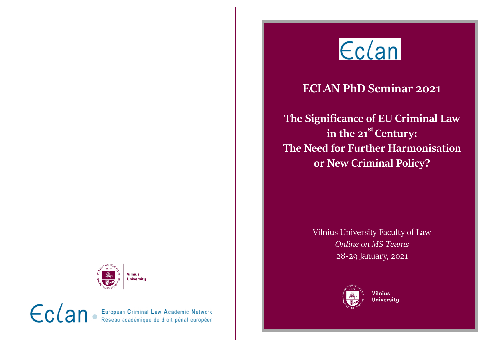

## **ECLAN PhD Seminar 2021**

**The Significance of EU Criminal Law in the 21st Century: The Need for Further Harmonisation or New Criminal Policy?**

> Vilnius University Faculty of Law *Online on MS Teams* 28-29 January, 2021



**Vilnius University** 



 $\epsilon$ c $\alpha$ n. European Criminal Law Academic Network<br>Réseau académique de droit pénal européen